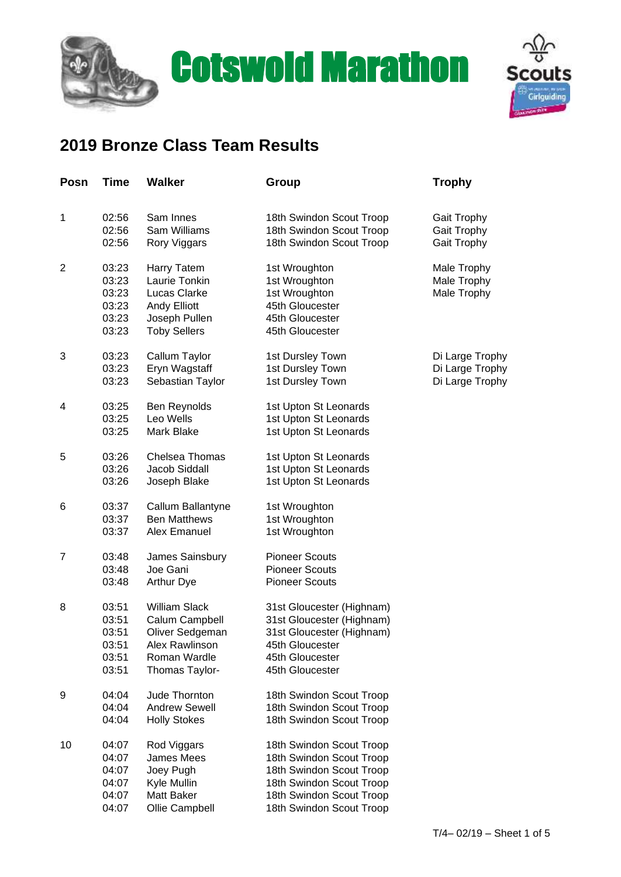



## **2019 Bronze Class Team Results**

| Posn           | <b>Time</b>    | <b>Walker</b>                        | Group                                                | <b>Trophy</b>      |
|----------------|----------------|--------------------------------------|------------------------------------------------------|--------------------|
|                |                |                                      |                                                      |                    |
| 1              | 02:56          | Sam Innes                            | 18th Swindon Scout Troop                             | <b>Gait Trophy</b> |
|                | 02:56          | Sam Williams                         | 18th Swindon Scout Troop                             | <b>Gait Trophy</b> |
|                | 02:56          | Rory Viggars                         | 18th Swindon Scout Troop                             | Gait Trophy        |
| $\overline{2}$ | 03:23          | Harry Tatem                          | 1st Wroughton                                        | Male Trophy        |
|                | 03:23          | Laurie Tonkin                        | 1st Wroughton                                        | Male Trophy        |
|                | 03:23          | <b>Lucas Clarke</b>                  | 1st Wroughton                                        | Male Trophy        |
|                | 03:23          | <b>Andy Elliott</b>                  | 45th Gloucester                                      |                    |
|                | 03:23<br>03:23 | Joseph Pullen<br><b>Toby Sellers</b> | 45th Gloucester<br>45th Gloucester                   |                    |
|                |                |                                      |                                                      |                    |
| 3              | 03:23          | Callum Taylor                        | 1st Dursley Town                                     | Di Large Trophy    |
|                | 03:23          | Eryn Wagstaff                        | 1st Dursley Town                                     | Di Large Trophy    |
|                | 03:23          | Sebastian Taylor                     | 1st Dursley Town                                     | Di Large Trophy    |
| 4              | 03:25          | Ben Reynolds                         | 1st Upton St Leonards                                |                    |
|                | 03:25          | Leo Wells                            | 1st Upton St Leonards                                |                    |
|                | 03:25          | Mark Blake                           | 1st Upton St Leonards                                |                    |
| 5              | 03:26          | Chelsea Thomas                       | 1st Upton St Leonards                                |                    |
|                | 03:26          | Jacob Siddall                        | 1st Upton St Leonards                                |                    |
|                | 03:26          | Joseph Blake                         | 1st Upton St Leonards                                |                    |
| 6              | 03:37          | Callum Ballantyne                    | 1st Wroughton                                        |                    |
|                | 03:37          | <b>Ben Matthews</b>                  | 1st Wroughton                                        |                    |
|                | 03:37          | Alex Emanuel                         | 1st Wroughton                                        |                    |
| 7              | 03:48          | James Sainsbury                      | <b>Pioneer Scouts</b>                                |                    |
|                | 03:48          | Joe Gani                             | <b>Pioneer Scouts</b>                                |                    |
|                | 03:48          | <b>Arthur Dye</b>                    | <b>Pioneer Scouts</b>                                |                    |
| 8              | 03:51          | <b>William Slack</b>                 | 31st Gloucester (Highnam)                            |                    |
|                | 03:51          | Calum Campbell                       | 31st Gloucester (Highnam)                            |                    |
|                | 03:51          | Oliver Sedgeman                      | 31st Gloucester (Highnam)                            |                    |
|                | 03:51          | Alex Rawlinson                       | 45th Gloucester                                      |                    |
|                | 03:51<br>03:51 | Roman Wardle<br>Thomas Taylor-       | 45th Gloucester<br>45th Gloucester                   |                    |
|                |                |                                      |                                                      |                    |
| 9              | 04:04          | Jude Thornton                        | 18th Swindon Scout Troop                             |                    |
|                | 04:04          | <b>Andrew Sewell</b>                 | 18th Swindon Scout Troop                             |                    |
|                | 04:04          | <b>Holly Stokes</b>                  | 18th Swindon Scout Troop                             |                    |
| 10             | 04:07          | Rod Viggars                          | 18th Swindon Scout Troop                             |                    |
|                | 04:07          | James Mees                           | 18th Swindon Scout Troop                             |                    |
|                | 04:07          | Joey Pugh                            | 18th Swindon Scout Troop                             |                    |
|                | 04:07          | Kyle Mullin<br>Matt Baker            | 18th Swindon Scout Troop                             |                    |
|                | 04:07<br>04:07 | Ollie Campbell                       | 18th Swindon Scout Troop<br>18th Swindon Scout Troop |                    |
|                |                |                                      |                                                      |                    |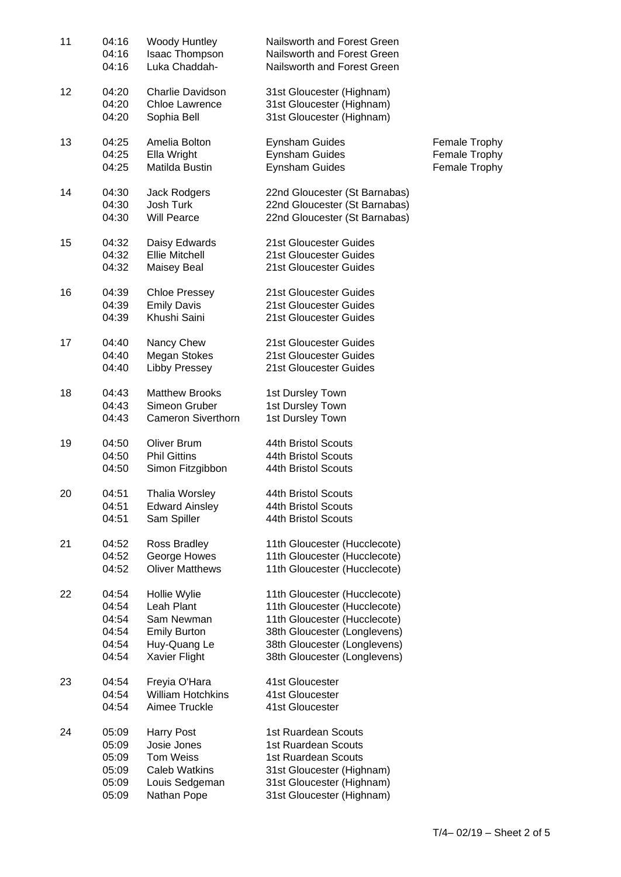| 11 | 04:16<br>04:16<br>04:16                            | <b>Woody Huntley</b><br>Isaac Thompson<br>Luka Chaddah-                                                | Nailsworth and Forest Green<br>Nailsworth and Forest Green<br>Nailsworth and Forest Green                                                                                                    |                                                 |
|----|----------------------------------------------------|--------------------------------------------------------------------------------------------------------|----------------------------------------------------------------------------------------------------------------------------------------------------------------------------------------------|-------------------------------------------------|
| 12 | 04:20<br>04:20<br>04:20                            | Charlie Davidson<br><b>Chloe Lawrence</b><br>Sophia Bell                                               | 31st Gloucester (Highnam)<br>31st Gloucester (Highnam)<br>31st Gloucester (Highnam)                                                                                                          |                                                 |
| 13 | 04:25<br>04:25<br>04:25                            | Amelia Bolton<br>Ella Wright<br>Matilda Bustin                                                         | <b>Eynsham Guides</b><br><b>Eynsham Guides</b><br><b>Eynsham Guides</b>                                                                                                                      | Female Trophy<br>Female Trophy<br>Female Trophy |
| 14 | 04:30<br>04:30<br>04:30                            | Jack Rodgers<br>Josh Turk<br><b>Will Pearce</b>                                                        | 22nd Gloucester (St Barnabas)<br>22nd Gloucester (St Barnabas)<br>22nd Gloucester (St Barnabas)                                                                                              |                                                 |
| 15 | 04:32<br>04:32<br>04:32                            | Daisy Edwards<br><b>Ellie Mitchell</b><br><b>Maisey Beal</b>                                           | 21st Gloucester Guides<br>21st Gloucester Guides<br>21st Gloucester Guides                                                                                                                   |                                                 |
| 16 | 04:39<br>04:39<br>04:39                            | <b>Chloe Pressey</b><br><b>Emily Davis</b><br>Khushi Saini                                             | 21st Gloucester Guides<br>21st Gloucester Guides<br>21st Gloucester Guides                                                                                                                   |                                                 |
| 17 | 04:40<br>04:40<br>04:40                            | Nancy Chew<br><b>Megan Stokes</b><br>Libby Pressey                                                     | 21st Gloucester Guides<br>21st Gloucester Guides<br>21st Gloucester Guides                                                                                                                   |                                                 |
| 18 | 04:43<br>04:43<br>04:43                            | <b>Matthew Brooks</b><br>Simeon Gruber<br><b>Cameron Siverthorn</b>                                    | 1st Dursley Town<br>1st Dursley Town<br>1st Dursley Town                                                                                                                                     |                                                 |
| 19 | 04:50<br>04:50<br>04:50                            | Oliver Brum<br><b>Phil Gittins</b><br>Simon Fitzgibbon                                                 | 44th Bristol Scouts<br>44th Bristol Scouts<br>44th Bristol Scouts                                                                                                                            |                                                 |
| 20 | 04:51<br>04:51<br>04:51                            | <b>Thalia Worsley</b><br><b>Edward Ainsley</b><br>Sam Spiller                                          | 44th Bristol Scouts<br>44th Bristol Scouts<br>44th Bristol Scouts                                                                                                                            |                                                 |
| 21 | 04:52<br>04:52<br>04:52                            | Ross Bradley<br>George Howes<br><b>Oliver Matthews</b>                                                 | 11th Gloucester (Hucclecote)<br>11th Gloucester (Hucclecote)<br>11th Gloucester (Hucclecote)                                                                                                 |                                                 |
| 22 | 04:54<br>04:54<br>04:54<br>04:54<br>04:54<br>04:54 | Hollie Wylie<br>Leah Plant<br>Sam Newman<br><b>Emily Burton</b><br>Huy-Quang Le<br>Xavier Flight       | 11th Gloucester (Hucclecote)<br>11th Gloucester (Hucclecote)<br>11th Gloucester (Hucclecote)<br>38th Gloucester (Longlevens)<br>38th Gloucester (Longlevens)<br>38th Gloucester (Longlevens) |                                                 |
| 23 | 04:54<br>04:54<br>04:54                            | Freyia O'Hara<br><b>William Hotchkins</b><br>Aimee Truckle                                             | 41st Gloucester<br>41st Gloucester<br>41st Gloucester                                                                                                                                        |                                                 |
| 24 | 05:09<br>05:09<br>05:09<br>05:09<br>05:09<br>05:09 | <b>Harry Post</b><br>Josie Jones<br>Tom Weiss<br><b>Caleb Watkins</b><br>Louis Sedgeman<br>Nathan Pope | 1st Ruardean Scouts<br>1st Ruardean Scouts<br>1st Ruardean Scouts<br>31st Gloucester (Highnam)<br>31st Gloucester (Highnam)<br>31st Gloucester (Highnam)                                     |                                                 |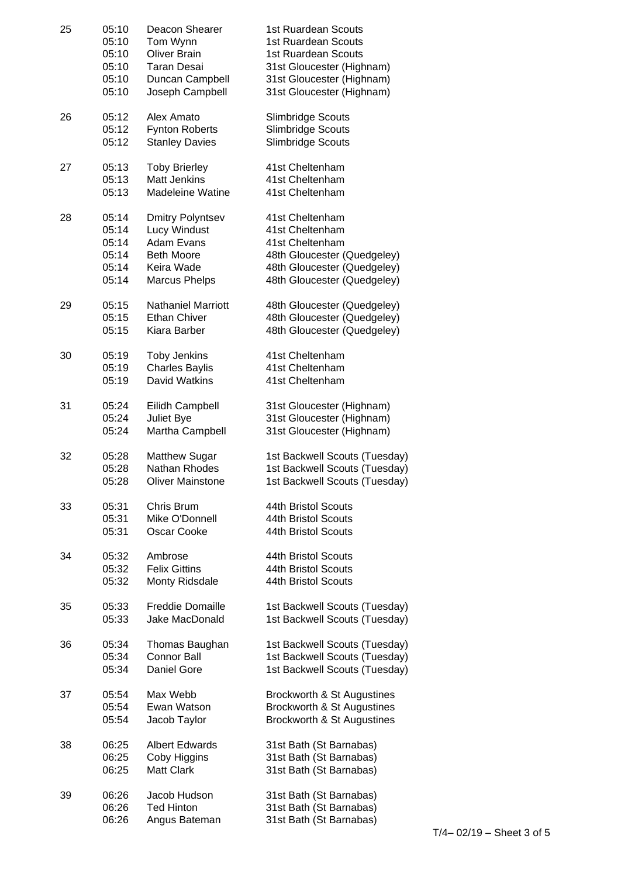| 25 | 05:10 | Deacon Shearer            | 1st Ruardean Scouts           |
|----|-------|---------------------------|-------------------------------|
|    | 05:10 | Tom Wynn                  | 1st Ruardean Scouts           |
|    | 05:10 | <b>Oliver Brain</b>       | 1st Ruardean Scouts           |
|    | 05:10 | <b>Taran Desai</b>        | 31st Gloucester (Highnam)     |
|    | 05:10 | Duncan Campbell           | 31st Gloucester (Highnam)     |
|    | 05:10 | Joseph Campbell           | 31st Gloucester (Highnam)     |
| 26 | 05:12 | Alex Amato                | Slimbridge Scouts             |
|    | 05:12 | <b>Fynton Roberts</b>     | Slimbridge Scouts             |
|    | 05:12 | <b>Stanley Davies</b>     | Slimbridge Scouts             |
| 27 | 05:13 | <b>Toby Brierley</b>      | 41st Cheltenham               |
|    | 05:13 | <b>Matt Jenkins</b>       | 41st Cheltenham               |
|    | 05:13 | <b>Madeleine Watine</b>   | 41st Cheltenham               |
| 28 | 05:14 | Dmitry Polyntsev          | 41st Cheltenham               |
|    | 05:14 | Lucy Windust              | 41st Cheltenham               |
|    | 05:14 | <b>Adam Evans</b>         | 41st Cheltenham               |
|    | 05:14 | <b>Beth Moore</b>         | 48th Gloucester (Quedgeley)   |
|    | 05:14 | Keira Wade                | 48th Gloucester (Quedgeley)   |
|    | 05:14 | <b>Marcus Phelps</b>      | 48th Gloucester (Quedgeley)   |
| 29 | 05:15 | <b>Nathaniel Marriott</b> | 48th Gloucester (Quedgeley)   |
|    | 05:15 | <b>Ethan Chiver</b>       | 48th Gloucester (Quedgeley)   |
|    | 05:15 | Kiara Barber              | 48th Gloucester (Quedgeley)   |
| 30 | 05:19 | <b>Toby Jenkins</b>       | 41st Cheltenham               |
|    | 05:19 | <b>Charles Baylis</b>     | 41st Cheltenham               |
|    | 05:19 | <b>David Watkins</b>      | 41st Cheltenham               |
| 31 | 05:24 | Eilidh Campbell           | 31st Gloucester (Highnam)     |
|    | 05:24 | Juliet Bye                | 31st Gloucester (Highnam)     |
|    | 05:24 | Martha Campbell           | 31st Gloucester (Highnam)     |
| 32 | 05:28 | <b>Matthew Sugar</b>      | 1st Backwell Scouts (Tuesday) |
|    | 05:28 | Nathan Rhodes             | 1st Backwell Scouts (Tuesday) |
|    | 05:28 | <b>Oliver Mainstone</b>   | 1st Backwell Scouts (Tuesday) |
| 33 | 05:31 | Chris Brum                | 44th Bristol Scouts           |
|    | 05:31 | Mike O'Donnell            | 44th Bristol Scouts           |
|    | 05:31 | Oscar Cooke               | 44th Bristol Scouts           |
| 34 | 05:32 | Ambrose                   | 44th Bristol Scouts           |
|    | 05:32 | <b>Felix Gittins</b>      | 44th Bristol Scouts           |
|    | 05:32 | Monty Ridsdale            | 44th Bristol Scouts           |
| 35 | 05:33 | <b>Freddie Domaille</b>   | 1st Backwell Scouts (Tuesday) |
|    | 05:33 | Jake MacDonald            | 1st Backwell Scouts (Tuesday) |
| 36 | 05:34 | Thomas Baughan            | 1st Backwell Scouts (Tuesday) |
|    | 05:34 | <b>Connor Ball</b>        | 1st Backwell Scouts (Tuesday) |
|    | 05:34 | Daniel Gore               | 1st Backwell Scouts (Tuesday) |
| 37 | 05:54 | Max Webb                  | Brockworth & St Augustines    |
|    | 05:54 | Ewan Watson               | Brockworth & St Augustines    |
|    | 05:54 | Jacob Taylor              | Brockworth & St Augustines    |
| 38 | 06:25 | <b>Albert Edwards</b>     | 31st Bath (St Barnabas)       |
|    | 06:25 | Coby Higgins              | 31st Bath (St Barnabas)       |
|    | 06:25 | <b>Matt Clark</b>         | 31st Bath (St Barnabas)       |
| 39 | 06:26 | Jacob Hudson              | 31st Bath (St Barnabas)       |
|    | 06:26 | <b>Ted Hinton</b>         | 31st Bath (St Barnabas)       |
|    | 06:26 | Angus Bateman             | 31st Bath (St Barnabas)       |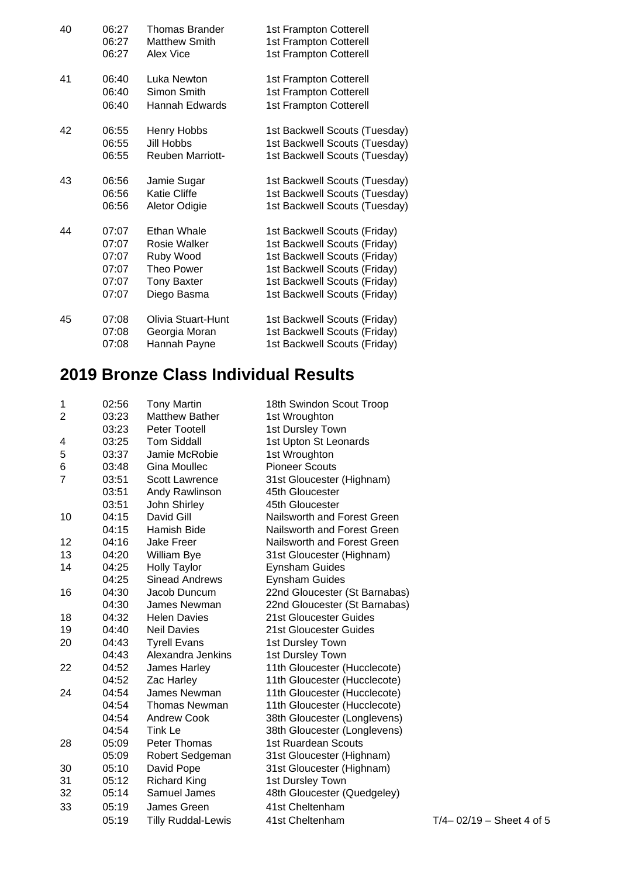| 40 | 06:27<br>06:27 | Thomas Brander<br><b>Matthew Smith</b> | 1st Frampton Cotterell<br>1st Frampton Cotterell |
|----|----------------|----------------------------------------|--------------------------------------------------|
|    | 06:27          | Alex Vice                              | 1st Frampton Cotterell                           |
| 41 | 06:40          | Luka Newton                            | 1st Frampton Cotterell                           |
|    | 06:40          | Simon Smith                            | 1st Frampton Cotterell                           |
|    | 06:40          | Hannah Edwards                         | 1st Frampton Cotterell                           |
| 42 | 06:55          | Henry Hobbs                            | 1st Backwell Scouts (Tuesday)                    |
|    | 06:55          | Jill Hobbs                             | 1st Backwell Scouts (Tuesday)                    |
|    | 06:55          | <b>Reuben Marriott-</b>                | 1st Backwell Scouts (Tuesday)                    |
| 43 | 06:56          | Jamie Sugar                            | 1st Backwell Scouts (Tuesday)                    |
|    | 06:56          | <b>Katie Cliffe</b>                    | 1st Backwell Scouts (Tuesday)                    |
|    | 06:56          | Aletor Odigie                          | 1st Backwell Scouts (Tuesday)                    |
| 44 | 07:07          | Ethan Whale                            | 1st Backwell Scouts (Friday)                     |
|    | 07:07          | Rosie Walker                           | 1st Backwell Scouts (Friday)                     |
|    | 07:07          | Ruby Wood                              | 1st Backwell Scouts (Friday)                     |
|    | 07:07          | Theo Power                             | 1st Backwell Scouts (Friday)                     |
|    | 07:07          | <b>Tony Baxter</b>                     | 1st Backwell Scouts (Friday)                     |
|    | 07:07          | Diego Basma                            | 1st Backwell Scouts (Friday)                     |
| 45 | 07:08          | Olivia Stuart-Hunt                     | 1st Backwell Scouts (Friday)                     |
|    | 07:08          | Georgia Moran                          | 1st Backwell Scouts (Friday)                     |
|    | 07:08          | Hannah Payne                           | 1st Backwell Scouts (Friday)                     |

## **2019 Bronze Class Individual Results**

| 1              | 02:56 | <b>Tony Martin</b>        | 18th Swindon Scout Troop      |
|----------------|-------|---------------------------|-------------------------------|
| $\overline{2}$ | 03:23 | <b>Matthew Bather</b>     | 1st Wroughton                 |
|                | 03:23 | Peter Tootell             | 1st Dursley Town              |
| 4              | 03:25 | <b>Tom Siddall</b>        | 1st Upton St Leonards         |
| 5              | 03:37 | Jamie McRobie             | 1st Wroughton                 |
| 6              | 03:48 | Gina Moullec              | <b>Pioneer Scouts</b>         |
| $\overline{7}$ | 03:51 | <b>Scott Lawrence</b>     | 31st Gloucester (Highnam)     |
|                | 03:51 | Andy Rawlinson            | 45th Gloucester               |
|                | 03:51 | John Shirley              | 45th Gloucester               |
| 10             | 04:15 | David Gill                | Nailsworth and Forest Green   |
|                | 04:15 | Hamish Bide               | Nailsworth and Forest Green   |
| 12             | 04:16 | <b>Jake Freer</b>         | Nailsworth and Forest Green   |
| 13             | 04:20 | William Bye               | 31st Gloucester (Highnam)     |
| 14             | 04:25 | <b>Holly Taylor</b>       | <b>Eynsham Guides</b>         |
|                | 04:25 | <b>Sinead Andrews</b>     | <b>Eynsham Guides</b>         |
| 16             | 04:30 | Jacob Duncum              | 22nd Gloucester (St Barnabas) |
|                | 04:30 | James Newman              | 22nd Gloucester (St Barnabas) |
| 18             | 04:32 | <b>Helen Davies</b>       | 21st Gloucester Guides        |
| 19             | 04:40 | <b>Neil Davies</b>        | 21st Gloucester Guides        |
| 20             | 04:43 | <b>Tyrell Evans</b>       | 1st Dursley Town              |
|                | 04:43 | Alexandra Jenkins         | 1st Dursley Town              |
| 22             | 04:52 | James Harley              | 11th Gloucester (Hucclecote)  |
|                | 04:52 | Zac Harley                | 11th Gloucester (Hucclecote)  |
| 24             | 04:54 | James Newman              | 11th Gloucester (Hucclecote)  |
|                | 04:54 | <b>Thomas Newman</b>      | 11th Gloucester (Hucclecote)  |
|                | 04:54 | Andrew Cook               | 38th Gloucester (Longlevens)  |
|                | 04:54 | Tink Le                   | 38th Gloucester (Longlevens)  |
| 28             | 05:09 | Peter Thomas              | 1st Ruardean Scouts           |
|                | 05:09 | Robert Sedgeman           | 31st Gloucester (Highnam)     |
| 30             | 05:10 | David Pope                | 31st Gloucester (Highnam)     |
| 31             | 05:12 | <b>Richard King</b>       | 1st Dursley Town              |
| 32             | 05:14 | Samuel James              | 48th Gloucester (Quedgeley)   |
| 33             | 05:19 | James Green               | 41st Cheltenham               |
|                | 05:19 | <b>Tilly Ruddal-Lewis</b> | 41st Cheltenham               |